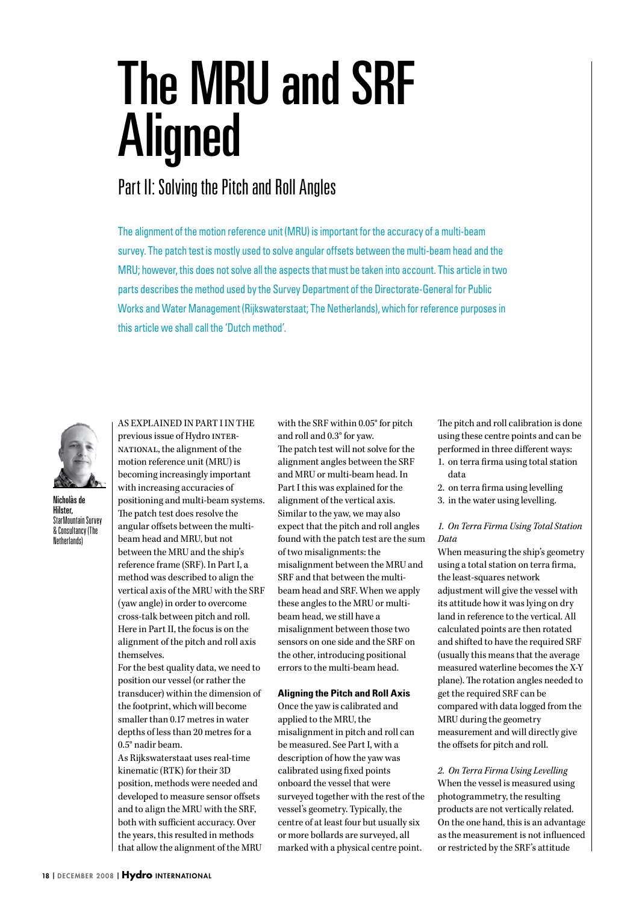# The MRU and SRF Aligned

## Part II: Solving the Pitch and Roll Angles

The alignment of the motion reference unit (MRU) is important for the accuracy of a multi-beam survey. The patch test is mostly used to solve angular offsets between the multi-beam head and the MRU; however, this does not solve all the aspects that must be taken into account. This article in two parts describes the method used by the Survey Department of the Directorate-General for Public Works and Water Management (Rijkswaterstaat; The Netherlands), which for reference purposes in this article we shall call the 'Dutch method'.



Nicholàs de Hilster, StarMountain Survey & Consultancy (The Netherlands)

As explained in Part I in the previous issue of Hydro INTERnational, the alignment of the motion reference unit (MRU) is becoming increasingly important with increasing accuracies of positioning and multi-beam systems. The patch test does resolve the angular offsets between the multibeam head and MRU, but not between the MRU and the ship's reference frame (SRF). In Part I, a method was described to align the vertical axis of the MRU with the SRF (yaw angle) in order to overcome cross-talk between pitch and roll. Here in Part II, the focus is on the alignment of the pitch and roll axis themselves.

For the best quality data, we need to position our vessel (or rather the transducer) within the dimension of the footprint, which will become smaller than 0.17 metres in water depths of less than 20 metres for a 0.5° nadir beam.

As Rijkswaterstaat uses real-time kinematic (RTK) for their 3D position, methods were needed and developed to measure sensor offsets and to align the MRU with the SRF, both with sufficient accuracy. Over the years, this resulted in methods that allow the alignment of the MRU with the SRF within 0.05° for pitch and roll and 0.3° for yaw.

The patch test will not solve for the alignment angles between the SRF and MRU or multi-beam head. In Part I this was explained for the alignment of the vertical axis. Similar to the yaw, we may also expect that the pitch and roll angles found with the patch test are the sum of two misalignments: the misalignment between the MRU and SRF and that between the multibeam head and SRF. When we apply these angles to the MRU or multibeam head, we still have a misalignment between those two sensors on one side and the SRF on the other, introducing positional errors to the multi-beam head.

#### **Aligning the Pitch and Roll Axis**

Once the yaw is calibrated and applied to the MRU, the misalignment in pitch and roll can be measured. See Part I, with a description of how the yaw was calibrated using fixed points onboard the vessel that were surveyed together with the rest of the vessel's geometry. Typically, the centre of at least four but usually six or more bollards are surveyed, all marked with a physical centre point.

The pitch and roll calibration is done using these centre points and can be performed in three different ways:

- 1. on terra firma using total station data
- 2. on terra firma using levelling
- 3. in the water using levelling.

### *1. On Terra Firma Using Total Station Data*

When measuring the ship's geometry using a total station on terra firma, the least-squares network adjustment will give the vessel with its attitude how it was lying on dry land in reference to the vertical. All calculated points are then rotated and shifted to have the required SRF (usually this means that the average measured waterline becomes the X-Y plane). The rotation angles needed to get the required SRF can be compared with data logged from the MRU during the geometry measurement and will directly give the offsets for pitch and roll.

*2. On Terra Firma Using Levelling* When the vessel is measured using photogrammetry, the resulting products are not vertically related. On the one hand, this is an advantage as the measurement is not influenced or restricted by the SRF's attitude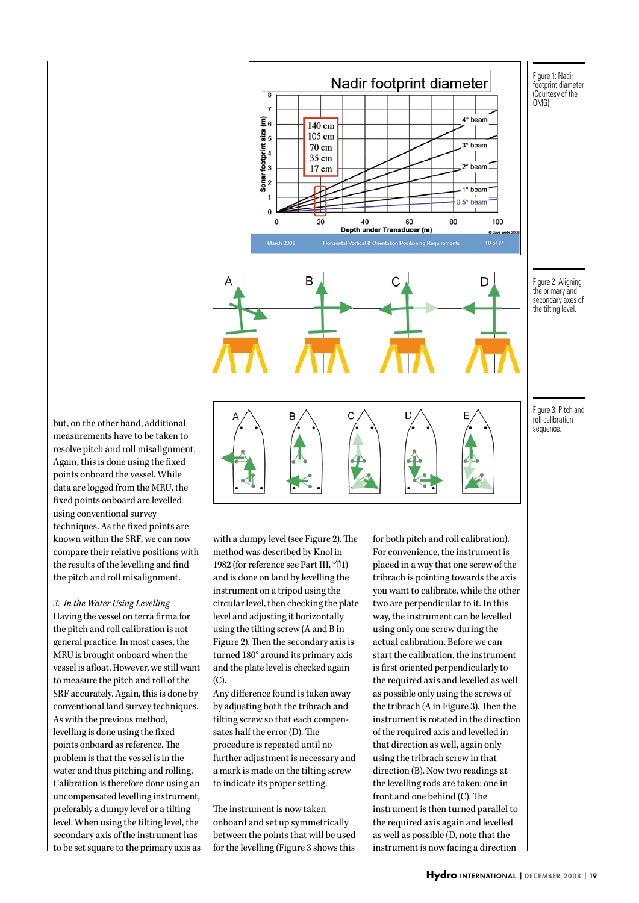

Figure 2: Aligning the primary and secondary axes of the tilting level.

but, on the other hand, additional measurements have to be taken to resolve pitch and roll misalignment. Again, this is done using the fixed points onboard the vessel. While data are logged from the MRU, the fixed points onboard are levelled using conventional survey techniques. As the fixed points are known within the SRF, we can now compare their relative positions with the results of the levelling and find the pitch and roll misalignment.

*3. In the Water Using Levelling* Having the vessel on terra firma for the pitch and roll calibration is not general practice. In most cases, the MRU is brought onboard when the vessel is afloat. However, we still want to measure the pitch and roll of the SRF accurately. Again, this is done by conventional land survey techniques. As with the previous method, levelling is done using the fixed points onboard as reference. The problem is that the vessel is in the water and thus pitching and rolling. Calibration is therefore done using an uncompensated levelling instrument, preferably a dumpy level or a tilting level. When using the tilting level, the secondary axis of the instrument has to be set square to the primary axis as

with a dumpy level (see Figure 2). The method was described by Knol in 1982 (for reference see Part III, <sup>-</sup> $\theta$ 1) and is done on land by levelling the instrument on a tripod using the circular level, then checking the plate level and adjusting it horizontally using the tilting screw (A and B in Figure 2). Then the secondary axis is turned 180° around its primary axis and the plate level is checked again (C).

Any difference found is taken away by adjusting both the tribrach and tilting screw so that each compensates half the error (D). The procedure is repeated until no further adjustment is necessary and a mark is made on the tilting screw to indicate its proper setting.

The instrument is now taken onboard and set up symmetrically between the points that will be used for the levelling (Figure 3 shows this

for both pitch and roll calibration). For convenience, the instrument is placed in a way that one screw of the tribrach is pointing towards the axis you want to calibrate, while the other two are perpendicular to it. In this way, the instrument can be levelled using only one screw during the actual calibration. Before we can start the calibration, the instrument is first oriented perpendicularly to the required axis and levelled as well as possible only using the screws of the tribrach (A in Figure 3). Then the instrument is rotated in the direction of the required axis and levelled in that direction as well, again only using the tribrach screw in that direction (B). Now two readings at the levelling rods are taken: one in front and one behind (C). The instrument is then turned parallel to the required axis again and levelled as well as possible (D, note that the instrument is now facing a direction

Figure 3: Pitch and roll calibration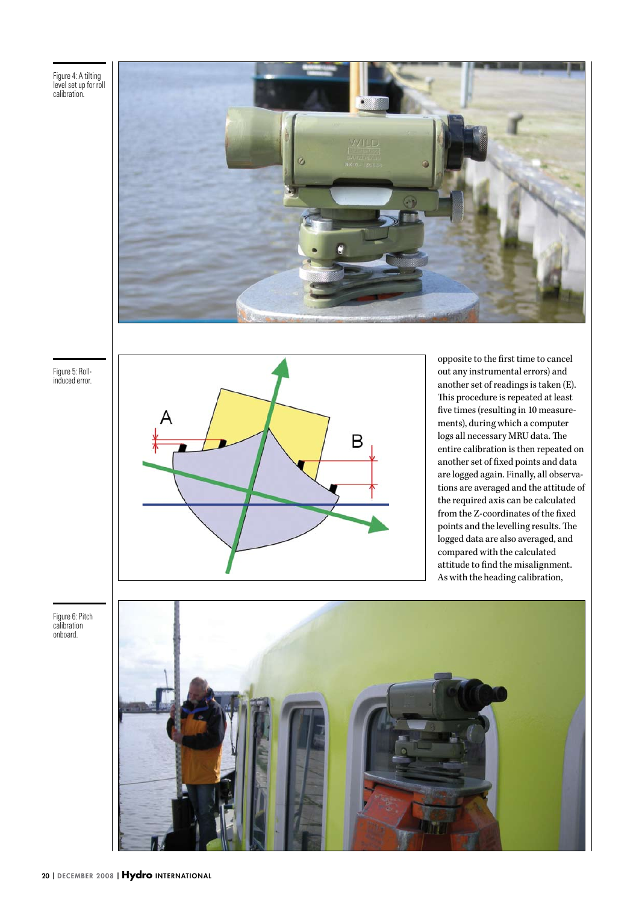Figure 4: A tilting level set up for roll calibration.



Figure 5: Rollinduced error.



opposite to the first time to cancel out any instrumental errors) and another set of readings is taken (E). This procedure is repeated at least five times (resulting in 10 measurements), during which a computer logs all necessary MRU data. The entire calibration is then repeated on another set of fixed points and data are logged again. Finally, all observations are averaged and the attitude of the required axis can be calculated from the Z-coordinates of the fixed points and the levelling results. The logged data are also averaged, and compared with the calculated attitude to find the misalignment. As with the heading calibration,

Figure 6: Pitch calibration onboard.